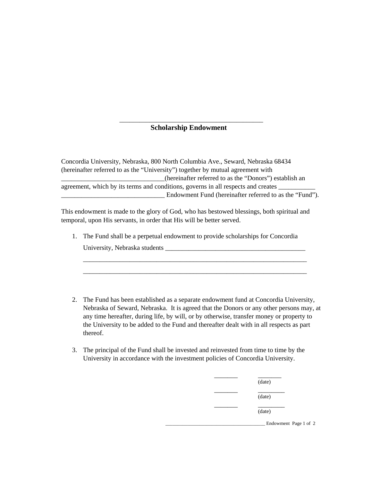## \_\_\_\_\_\_\_\_\_\_\_\_\_\_\_\_\_\_\_\_\_\_\_\_\_\_\_\_\_\_\_\_\_\_\_\_\_\_\_\_\_\_\_  **Scholarship Endowment**

Concordia University, Nebraska, 800 North Columbia Ave., Seward, Nebraska 68434 (hereinafter referred to as the "University") together by mutual agreement with \_\_\_\_\_\_\_\_\_\_\_\_\_\_\_\_\_\_\_\_\_\_\_\_\_\_\_\_\_\_\_(hereinafter referred to as the "Donors") establish an agreement, which by its terms and conditions, governs in all respects and creates \_\_\_\_\_\_\_\_\_\_\_\_\_\_\_\_\_\_\_\_\_\_\_\_\_\_\_\_\_\_\_ Endowment Fund (hereinafter referred to as the "Fund").

This endowment is made to the glory of God, who has bestowed blessings, both spiritual and temporal, upon His servants, in order that His will be better served.

1. The Fund shall be a perpetual endowment to provide scholarships for Concordia University, Nebraska students

\_\_\_\_\_\_\_\_\_\_\_\_\_\_\_\_\_\_\_\_\_\_\_\_\_\_\_\_\_\_\_\_\_\_\_\_\_\_\_\_\_\_\_\_\_\_\_\_\_\_\_\_\_\_\_\_\_\_\_\_\_\_\_\_\_\_\_ \_\_\_\_\_\_\_\_\_\_\_\_\_\_\_\_\_\_\_\_\_\_\_\_\_\_\_\_\_\_\_\_\_\_\_\_\_\_\_\_\_\_\_\_\_\_\_\_\_\_\_\_\_\_\_\_\_\_\_\_\_\_\_\_\_\_\_

- 2. The Fund has been established as a separate endowment fund at Concordia University, Nebraska of Seward, Nebraska. It is agreed that the Donors or any other persons may, at any time hereafter, during life, by will, or by otherwise, transfer money or property to the University to be added to the Fund and thereafter dealt with in all respects as part thereof.
- 3. The principal of the Fund shall be invested and reinvested from time to time by the University in accordance with the investment policies of Concordia University.

|  | (date)                |
|--|-----------------------|
|  | (date)                |
|  | (date)                |
|  | Endowment Page 1 of 2 |